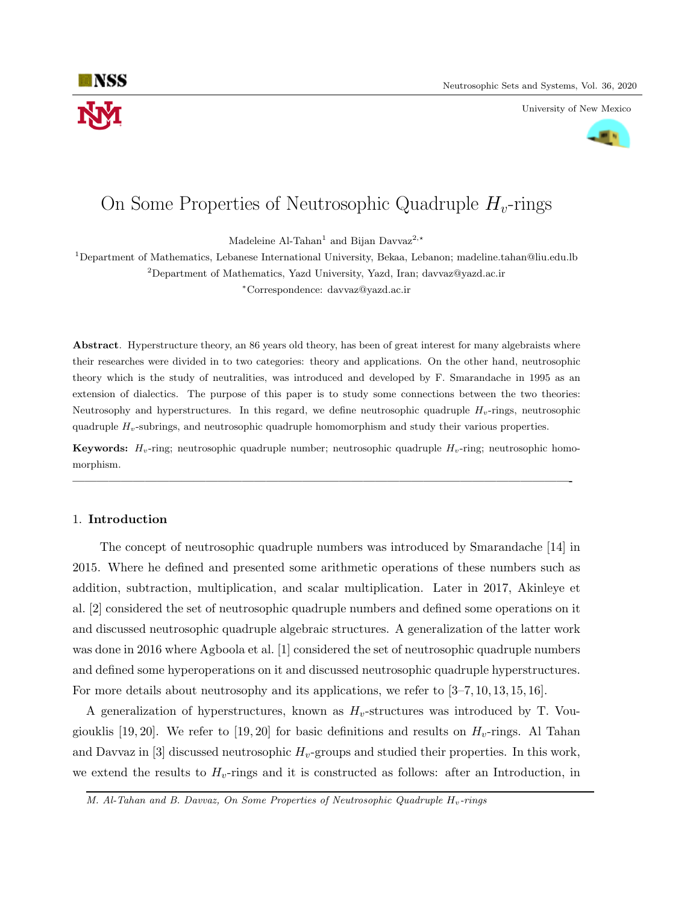

University of New Mexico



# On Some Properties of Neutrosophic Quadruple  $H<sub>v</sub>$ -rings

Madeleine Al-Tahan<sup>1</sup> and Bijan Davvaz<sup>2,\*</sup>

<sup>1</sup>Department of Mathematics, Lebanese International University, Bekaa, Lebanon; madeline.tahan@liu.edu.lb

<sup>2</sup>Department of Mathematics, Yazd University, Yazd, Iran; davvaz@yazd.ac.ir

<sup>∗</sup>Correspondence: davvaz@yazd.ac.ir

Abstract. Hyperstructure theory, an 86 years old theory, has been of great interest for many algebraists where their researches were divided in to two categories: theory and applications. On the other hand, neutrosophic theory which is the study of neutralities, was introduced and developed by F. Smarandache in 1995 as an extension of dialectics. The purpose of this paper is to study some connections between the two theories: Neutrosophy and hyperstructures. In this regard, we define neutrosophic quadruple  $H_v$ -rings, neutrosophic quadruple  $H_v$ -subrings, and neutrosophic quadruple homomorphism and study their various properties.

**Keywords:**  $H_v$ -ring; neutrosophic quadruple number; neutrosophic quadruple  $H_v$ -ring; neutrosophic homomorphism.

—————————————————————————————————————————-

#### 1. Introduction

The concept of neutrosophic quadruple numbers was introduced by Smarandache [14] in 2015. Where he defined and presented some arithmetic operations of these numbers such as addition, subtraction, multiplication, and scalar multiplication. Later in 2017, Akinleye et al. [2] considered the set of neutrosophic quadruple numbers and defined some operations on it and discussed neutrosophic quadruple algebraic structures. A generalization of the latter work was done in 2016 where Agboola et al. [1] considered the set of neutrosophic quadruple numbers and defined some hyperoperations on it and discussed neutrosophic quadruple hyperstructures. For more details about neutrosophy and its applications, we refer to [3–7, 10, 13, 15, 16].

A generalization of hyperstructures, known as  $H_v$ -structures was introduced by T. Vougiouklis [19, 20]. We refer to [19, 20] for basic definitions and results on  $H_v$ -rings. Al Tahan and Davvaz in [3] discussed neutrosophic  $H_v$ -groups and studied their properties. In this work, we extend the results to  $H_v$ -rings and it is constructed as follows: after an Introduction, in

M.  $Al$ -Tahan and B. Davvaz, On Some Properties of Neutrosophic Quadruple  $H_v$ -rings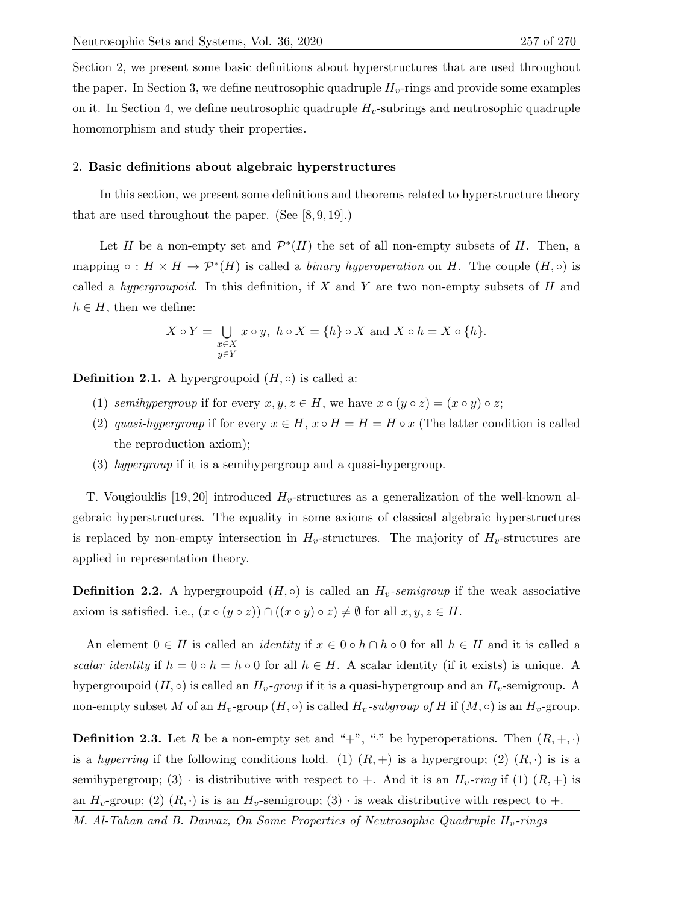Section 2, we present some basic definitions about hyperstructures that are used throughout the paper. In Section 3, we define neutrosophic quadruple  $H_v$ -rings and provide some examples on it. In Section 4, we define neutrosophic quadruple  $H_v$ -subrings and neutrosophic quadruple homomorphism and study their properties.

#### 2. Basic definitions about algebraic hyperstructures

In this section, we present some definitions and theorems related to hyperstructure theory that are used throughout the paper. (See [8, 9, 19].)

Let H be a non-empty set and  $\mathcal{P}^*(H)$  the set of all non-empty subsets of H. Then, a mapping  $\circ$  :  $H \times H \to \mathcal{P}^*(H)$  is called a *binary hyperoperation* on H. The couple  $(H, \circ)$  is called a *hypergroupoid*. In this definition, if X and Y are two non-empty subsets of H and  $h \in H$ , then we define:

$$
X \circ Y = \bigcup_{\substack{x \in X \\ y \in Y}} x \circ y, \ h \circ X = \{h\} \circ X \text{ and } X \circ h = X \circ \{h\}.
$$

**Definition 2.1.** A hypergroupoid  $(H, \circ)$  is called a:

- (1) semihypergroup if for every  $x, y, z \in H$ , we have  $x \circ (y \circ z) = (x \circ y) \circ z$ ;
- (2) quasi-hypergroup if for every  $x \in H$ ,  $x \circ H = H = H \circ x$  (The latter condition is called the reproduction axiom);
- (3) hypergroup if it is a semihypergroup and a quasi-hypergroup.

T. Vougiouklis [19, 20] introduced  $H_v$ -structures as a generalization of the well-known algebraic hyperstructures. The equality in some axioms of classical algebraic hyperstructures is replaced by non-empty intersection in  $H_v$ -structures. The majority of  $H_v$ -structures are applied in representation theory.

**Definition 2.2.** A hypergroupoid  $(H, \circ)$  is called an  $H_v$ -semigroup if the weak associative axiom is satisfied. i.e.,  $(x \circ (y \circ z)) \cap ((x \circ y) \circ z) \neq \emptyset$  for all  $x, y, z \in H$ .

An element  $0 \in H$  is called an *identity* if  $x \in 0 \circ h \cap h \circ 0$  for all  $h \in H$  and it is called a scalar identity if  $h = 0 \circ h = h \circ 0$  for all  $h \in H$ . A scalar identity (if it exists) is unique. A hypergroupoid  $(H, \circ)$  is called an  $H_v$ -group if it is a quasi-hypergroup and an  $H_v$ -semigroup. A non-empty subset M of an  $H_v$ -group  $(H, \circ)$  is called  $H_v$ -subgroup of H if  $(M, \circ)$  is an  $H_v$ -group.

**Definition 2.3.** Let R be a non-empty set and "+", " $\cdot$ " be hyperoperations. Then  $(R, +, \cdot)$ is a hyperring if the following conditions hold. (1)  $(R, +)$  is a hypergroup; (2)  $(R, \cdot)$  is is a semihypergroup; (3)  $\cdot$  is distributive with respect to +. And it is an  $H_v$ -ring if (1)  $(R, +)$  is an  $H_v$ -group; (2)  $(R, \cdot)$  is is an  $H_v$ -semigroup; (3)  $\cdot$  is weak distributive with respect to  $+$ .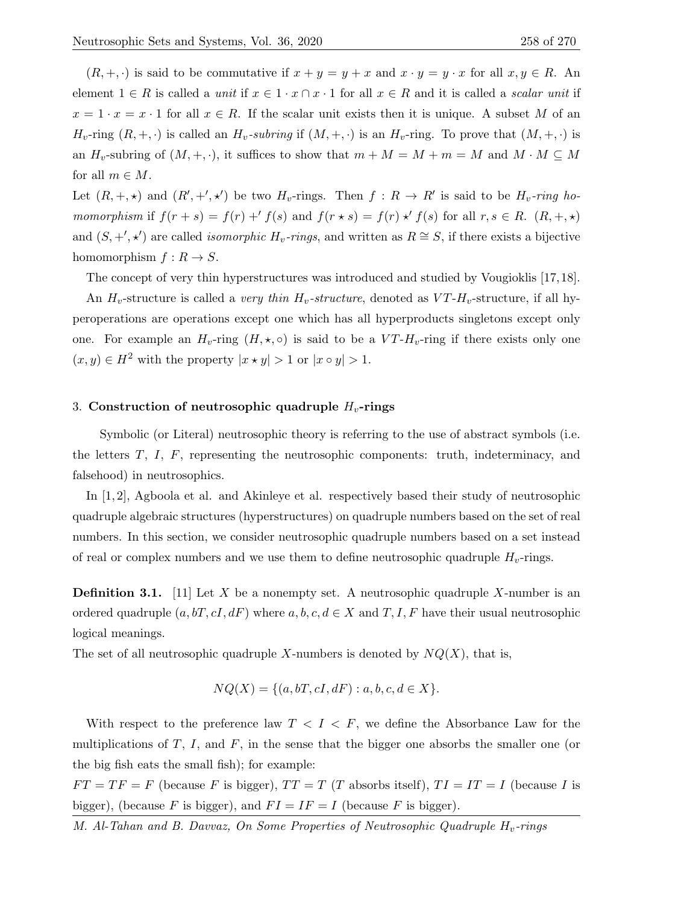$(R, +, \cdot)$  is said to be commutative if  $x + y = y + x$  and  $x \cdot y = y \cdot x$  for all  $x, y \in R$ . An element  $1 \in R$  is called a unit if  $x \in 1 \cdot x \cap x \cdot 1$  for all  $x \in R$  and it is called a scalar unit if  $x = 1 \cdot x = x \cdot 1$  for all  $x \in R$ . If the scalar unit exists then it is unique. A subset M of an  $H_v$ -ring  $(R, +, \cdot)$  is called an  $H_v$ -subring if  $(M, +, \cdot)$  is an  $H_v$ -ring. To prove that  $(M, +, \cdot)$  is an  $H_v$ -subring of  $(M, +, \cdot)$ , it suffices to show that  $m + M = M + m = M$  and  $M \cdot M \subseteq M$ for all  $m \in M$ .

Let  $(R, +, \star)$  and  $(R', +', \star')$  be two  $H_v$ -rings. Then  $f : R \to R'$  is said to be  $H_v$ -ring homomorphism if  $f(r + s) = f(r) + f(s)$  and  $f(r \star s) = f(r) \star' f(s)$  for all  $r, s \in R$ .  $(R, +, \star)$ and  $(S, +', \star')$  are called *isomorphic H<sub>v</sub>-rings*, and written as  $R \cong S$ , if there exists a bijective homomorphism  $f: R \to S$ .

The concept of very thin hyperstructures was introduced and studied by Vougioklis [17,18].

An  $H_v$ -structure is called a very thin  $H_v$ -structure, denoted as  $VT-H_v$ -structure, if all hyperoperations are operations except one which has all hyperproducts singletons except only one. For example an  $H_v$ -ring  $(H, \star, \circ)$  is said to be a  $VT-H_v$ -ring if there exists only one  $(x, y) \in H^2$  with the property  $|x \star y| > 1$  or  $|x \circ y| > 1$ .

# 3. Construction of neutrosophic quadruple  $H_v$ -rings

Symbolic (or Literal) neutrosophic theory is referring to the use of abstract symbols (i.e. the letters  $T$ ,  $I$ ,  $F$ , representing the neutrosophic components: truth, indeterminacy, and falsehood) in neutrosophics.

In [1, 2], Agboola et al. and Akinleye et al. respectively based their study of neutrosophic quadruple algebraic structures (hyperstructures) on quadruple numbers based on the set of real numbers. In this section, we consider neutrosophic quadruple numbers based on a set instead of real or complex numbers and we use them to define neutrosophic quadruple  $H_v$ -rings.

**Definition 3.1.** [11] Let X be a nonempty set. A neutrosophic quadruple X-number is an ordered quadruple  $(a, bT, cI, dF)$  where  $a, b, c, d \in X$  and  $T, I, F$  have their usual neutrosophic logical meanings.

The set of all neutrosophic quadruple X-numbers is denoted by  $NQ(X)$ , that is,

$$
NQ(X) = \{(a, bT, cI, dF) : a, b, c, d \in X\}.
$$

With respect to the preference law  $T < I < F$ , we define the Absorbance Law for the multiplications of  $T$ ,  $I$ , and  $F$ , in the sense that the bigger one absorbs the smaller one (or the big fish eats the small fish); for example:

 $FT = TF = F$  (because F is bigger),  $TT = T$  (T absorbs itself),  $TI = IT = I$  (because I is bigger), (because F is bigger), and  $FI = IF = I$  (because F is bigger).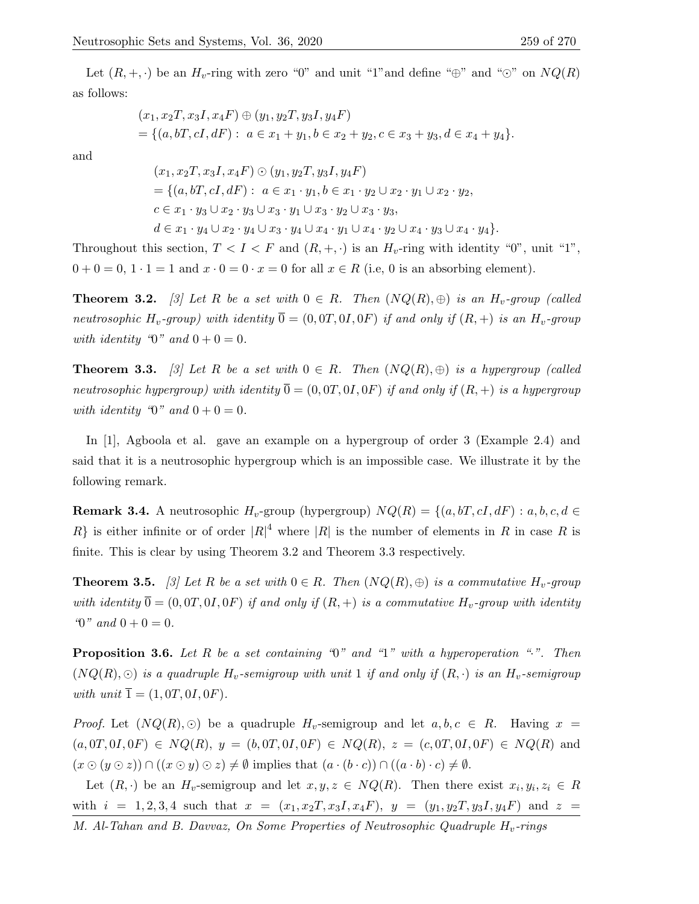Let  $(R, +, \cdot)$  be an  $H_v$ -ring with zero "0" and unit "1" and define " $\oplus$ " and " $\odot$ " on  $NQ(R)$ as follows:

$$
(x_1, x_2T, x_3I, x_4F) \oplus (y_1, y_2T, y_3I, y_4F)
$$
  
= { $(a, bT, cI, dF)$  :  $a \in x_1 + y_1, b \in x_2 + y_2, c \in x_3 + y_3, d \in x_4 + y_4$  }.

and

$$
(x_1, x_2T, x_3I, x_4F) \odot (y_1, y_2T, y_3I, y_4F)
$$
  
= { $(a, bT, cI, dF)$  :  $a \in x_1 \cdot y_1, b \in x_1 \cdot y_2 \cup x_2 \cdot y_1 \cup x_2 \cdot y_2,$   
 $c \in x_1 \cdot y_3 \cup x_2 \cdot y_3 \cup x_3 \cdot y_1 \cup x_3 \cdot y_2 \cup x_3 \cdot y_3,$   
 $d \in x_1 \cdot y_4 \cup x_2 \cdot y_4 \cup x_3 \cdot y_4 \cup x_4 \cdot y_1 \cup x_4 \cdot y_2 \cup x_4 \cdot y_3 \cup x_4 \cdot y_4$ }

Throughout this section,  $T < I < F$  and  $(R, +, \cdot)$  is an  $H_v$ -ring with identity "0", unit "1",  $0 + 0 = 0$ ,  $1 \cdot 1 = 1$  and  $x \cdot 0 = 0 \cdot x = 0$  for all  $x \in R$  (i.e. 0 is an absorbing element).

**Theorem 3.2.** [3] Let R be a set with  $0 \in R$ . Then  $(NQ(R), \oplus)$  is an  $H_v$ -group (called neutrosophic H<sub>v</sub>-group) with identity  $\overline{0} = (0, 0T, 0I, 0F)$  if and only if  $(R, +)$  is an H<sub>v</sub>-group with identity " $0$ " and  $0 + 0 = 0$ .

**Theorem 3.3.** [3] Let R be a set with  $0 \in R$ . Then  $(NQ(R), \oplus)$  is a hypergroup (called neutrosophic hypergroup) with identity  $\overline{0} = (0, 0T, 0I, 0F)$  if and only if  $(R, +)$  is a hypergroup with identity "0" and  $0 + 0 = 0$ .

In [1], Agboola et al. gave an example on a hypergroup of order 3 (Example 2.4) and said that it is a neutrosophic hypergroup which is an impossible case. We illustrate it by the following remark.

**Remark 3.4.** A neutrosophic  $H_v$ -group (hypergroup)  $NQ(R) = \{(a, bT, cI, dF) : a, b, c, d \in$ R} is either infinite or of order  $|R|^4$  where  $|R|$  is the number of elements in R in case R is finite. This is clear by using Theorem 3.2 and Theorem 3.3 respectively.

**Theorem 3.5.** [3] Let R be a set with  $0 \in R$ . Then  $(NQ(R), \oplus)$  is a commutative  $H_v$ -group with identity  $\overline{0} = (0, 0T, 0I, 0F)$  if and only if  $(R, +)$  is a commutative  $H_v$ -group with identity " $0$ " and  $0 + 0 = 0$ .

**Proposition 3.6.** Let R be a set containing " $0$ " and " $1$ " with a hyperoperation ".". Then  $(NQ(R), \odot)$  is a quadruple  $H_v$ -semigroup with unit 1 if and only if  $(R, \cdot)$  is an  $H_v$ -semigroup with unit  $\overline{1} = (1, 0T, 0I, 0F)$ .

*Proof.* Let  $(NQ(R), \odot)$  be a quadruple  $H_v$ -semigroup and let  $a, b, c \in R$ . Having  $x =$  $(a, 0T, 0I, 0F) \in NQ(R), y = (b, 0T, 0I, 0F) \in NQ(R), z = (c, 0T, 0I, 0F) \in NQ(R)$  and  $(x \odot (y \odot z)) \cap ((x \odot y) \odot z) \neq \emptyset$  implies that  $(a \cdot (b \cdot c)) \cap ((a \cdot b) \cdot c) \neq \emptyset$ .

Let  $(R, \cdot)$  be an  $H_v$ -semigroup and let  $x, y, z \in NQ(R)$ . Then there exist  $x_i, y_i, z_i \in R$ with  $i = 1, 2, 3, 4$  such that  $x = (x_1, x_2, x_3, x_4, F)$ ,  $y = (y_1, y_2, y_3, y_4, F)$  and  $z =$ M. Al-Tahan and B. Davvaz, On Some Properties of Neutrosophic Quadruple  $H_v$ -rings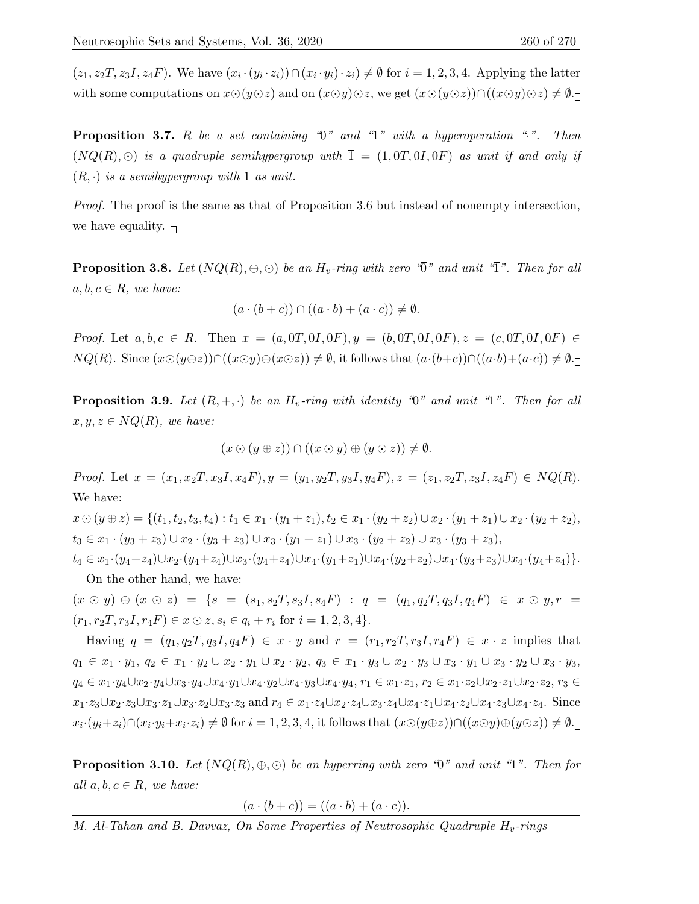$(z_1, z_2T, z_3I, z_4F)$ . We have  $(x_i \cdot (y_i \cdot z_i)) \cap (x_i \cdot y_i) \cdot z_i \neq \emptyset$  for  $i = 1, 2, 3, 4$ . Applying the latter with some computations on  $x\odot(y\odot z)$  and on  $(x\odot y)\odot z$ , we get  $(x\odot(y\odot z))\cap((x\odot y)\odot z)\neq\emptyset$ .

**Proposition 3.7.** R be a set containing " $0$ " and "1" with a hyperoperation ".". Then  $(NQ(R), \odot)$  is a quadruple semihypergroup with  $\overline{1} = (1, 0T, 0I, 0F)$  as unit if and only if  $(R, \cdot)$  is a semihypergroup with 1 as unit.

Proof. The proof is the same as that of Proposition 3.6 but instead of nonempty intersection, we have equality.  $\Box$ 

**Proposition 3.8.** Let  $(NQ(R), \oplus, \odot)$  be an  $H_v$ -ring with zero " $\overline{0}$ " and unit " $\overline{1}$ ". Then for all  $a, b, c \in R$ , we have:

$$
(a \cdot (b+c)) \cap ((a \cdot b) + (a \cdot c)) \neq \emptyset.
$$

Proof. Let  $a, b, c \in R$ . Then  $x = (a, 0T, 0I, 0F), y = (b, 0T, 0I, 0F), z = (c, 0T, 0I, 0F) \in$  $NQ(R)$ . Since  $(x\odot(y\oplus z))\cap((x\odot y)\oplus(x\odot z))\neq\emptyset$ , it follows that  $(a\cdot(b+c))\cap((a\cdot b)+(a\cdot c))\neq\emptyset$ .

**Proposition 3.9.** Let  $(R, +, \cdot)$  be an  $H_v$ -ring with identity "0" and unit "1". Then for all  $x, y, z \in NQ(R)$ , we have:

$$
(x\odot (y\oplus z))\cap ((x\odot y)\oplus (y\odot z))\neq \emptyset.
$$

Proof. Let  $x = (x_1, x_2, x_3, x_4, F), y = (y_1, y_2, y_3, y_4, F), z = (z_1, z_2, z_3, z_4, F) \in NQ(R)$ . We have:

 $x \odot (y \oplus z) = \{(t_1, t_2, t_3, t_4) : t_1 \in x_1 \cdot (y_1 + z_1), t_2 \in x_1 \cdot (y_2 + z_2) \cup x_2 \cdot (y_1 + z_1) \cup x_2 \cdot (y_2 + z_2),$  $t_3 \in x_1 \cdot (y_3 + z_3) \cup x_2 \cdot (y_3 + z_3) \cup x_3 \cdot (y_1 + z_1) \cup x_3 \cdot (y_2 + z_2) \cup x_3 \cdot (y_3 + z_3),$  $t_4 \in x_1 \cdot (y_4 + z_4) \cup x_2 \cdot (y_4 + z_4) \cup x_3 \cdot (y_4 + z_4) \cup x_4 \cdot (y_1 + z_1) \cup x_4 \cdot (y_2 + z_2) \cup x_4 \cdot (y_3 + z_3) \cup x_4 \cdot (y_4 + z_4)$ 

On the other hand, we have:

 $(x \odot y) \oplus (x \odot z) = \{s = (s_1, s_2T, s_3I, s_4F) : q = (q_1, q_2T, q_3I, q_4F) \in x \odot y, r =$  $(r_1, r_2T, r_3I, r_4F) \in x \odot z, s_i \in q_i + r_i \text{ for } i = 1, 2, 3, 4$ .

Having  $q = (q_1, q_2T, q_3I, q_4F) \in x \cdot y$  and  $r = (r_1, r_2T, r_3I, r_4F) \in x \cdot z$  implies that  $q_1 \in x_1 \cdot y_1, q_2 \in x_1 \cdot y_2 \cup x_2 \cdot y_1 \cup x_2 \cdot y_2, q_3 \in x_1 \cdot y_3 \cup x_2 \cdot y_3 \cup x_3 \cdot y_1 \cup x_3 \cdot y_2 \cup x_3 \cdot y_3$  $q_4 \in x_1 \cdot y_4 \cup x_2 \cdot y_4 \cup x_3 \cdot y_4 \cup x_4 \cdot y_1 \cup x_4 \cdot y_2 \cup x_4 \cdot y_3 \cup x_4 \cdot y_4$ ,  $r_1 \in x_1 \cdot z_1$ ,  $r_2 \in x_1 \cdot z_2 \cup x_2 \cdot z_1 \cup x_2 \cdot z_2$ ,  $r_3 \in x_1 \cdot y_4$  $x_1 \cdot z_3 \cup x_2 \cdot z_3 \cup x_3 \cdot z_1 \cup x_3 \cdot z_2 \cup x_3 \cdot z_3$  and  $r_4 \in x_1 \cdot z_4 \cup x_2 \cdot z_4 \cup x_3 \cdot z_4 \cup x_4 \cdot z_1 \cup x_4 \cdot z_2 \cup x_4 \cdot z_3 \cup x_4 \cdot z_4$ . Since  $x_i \cdot (y_i + z_i) \cap (x_i \cdot y_i + x_i \cdot z_i) \neq \emptyset$  for  $i = 1, 2, 3, 4$ , it follows that  $(x \odot (y \oplus z)) \cap ((x \odot y) \oplus (y \odot z)) \neq \emptyset$ .

**Proposition 3.10.** Let  $(NQ(R), \oplus, \odot)$  be an hyperring with zero " $\overline{0}$ " and unit " $\overline{1}$ ". Then for all  $a, b, c \in R$ , we have:

 $(a \cdot (b + c)) = ((a \cdot b) + (a \cdot c)).$ 

M. Al-Tahan and B. Davvaz, On Some Properties of Neutrosophic Quadruple  $H_v$ -rings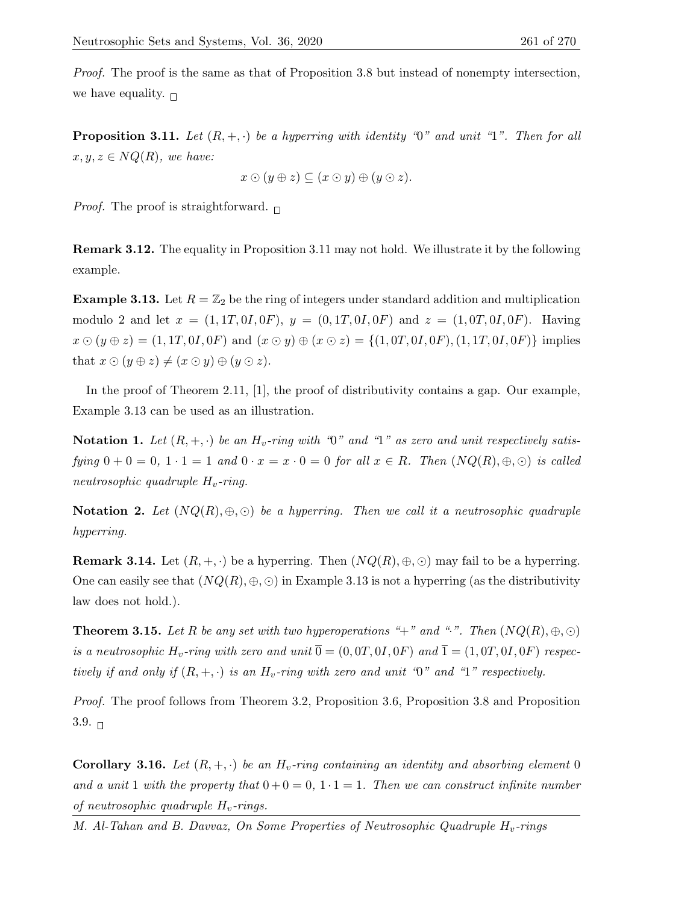Proof. The proof is the same as that of Proposition 3.8 but instead of nonempty intersection, we have equality.  $\Box$ 

**Proposition 3.11.** Let  $(R, +, \cdot)$  be a hyperring with identity "0" and unit "1". Then for all  $x, y, z \in NQ(R)$ , we have:

$$
x\odot(y\oplus z)\subseteq(x\odot y)\oplus(y\odot z).
$$

*Proof.* The proof is straightforward.  $\Box$ 

Remark 3.12. The equality in Proposition 3.11 may not hold. We illustrate it by the following example.

**Example 3.13.** Let  $R = \mathbb{Z}_2$  be the ring of integers under standard addition and multiplication modulo 2 and let  $x = (1, 1T, 0I, 0F), y = (0, 1T, 0I, 0F)$  and  $z = (1, 0T, 0I, 0F)$ . Having  $x \odot (y \oplus z) = (1, 1T, 0I, 0F)$  and  $(x \odot y) \oplus (x \odot z) = \{(1, 0T, 0I, 0F), (1, 1T, 0I, 0F)\}\$ implies that  $x \odot (y \oplus z) \neq (x \odot y) \oplus (y \odot z)$ .

In the proof of Theorem 2.11, [1], the proof of distributivity contains a gap. Our example, Example 3.13 can be used as an illustration.

**Notation 1.** Let  $(R, +, \cdot)$  be an  $H_v$ -ring with "0" and "1" as zero and unit respectively satisfying  $0 + 0 = 0, 1 \cdot 1 = 1$  and  $0 \cdot x = x \cdot 0 = 0$  for all  $x \in R$ . Then  $(NQ(R), \oplus, \odot)$  is called neutrosophic quadruple  $H_v$ -ring.

Notation 2. Let  $(NQ(R), \oplus, \odot)$  be a hyperring. Then we call it a neutrosophic quadruple hyperring.

**Remark 3.14.** Let  $(R, +, \cdot)$  be a hyperring. Then  $(NQ(R), \oplus, \odot)$  may fail to be a hyperring. One can easily see that  $(NQ(R), \oplus, \odot)$  in Example 3.13 is not a hyperring (as the distributivity law does not hold.).

**Theorem 3.15.** Let R be any set with two hyperoperations "+" and ".". Then  $(NQ(R), \oplus, \odot)$ is a neutrosophic H<sub>v</sub>-ring with zero and unit  $\overline{0} = (0, 0T, 0I, 0F)$  and  $\overline{1} = (1, 0T, 0I, 0F)$  respectively if and only if  $(R, +, \cdot)$  is an  $H_v$ -ring with zero and unit "0" and "1" respectively.

Proof. The proof follows from Theorem 3.2, Proposition 3.6, Proposition 3.8 and Proposition  $3.9.$   $\Box$ 

**Corollary 3.16.** Let  $(R, +, \cdot)$  be an  $H_v$ -ring containing an identity and absorbing element 0 and a unit 1 with the property that  $0 + 0 = 0, 1 \cdot 1 = 1$ . Then we can construct infinite number of neutrosophic quadruple  $H_v$ -rings.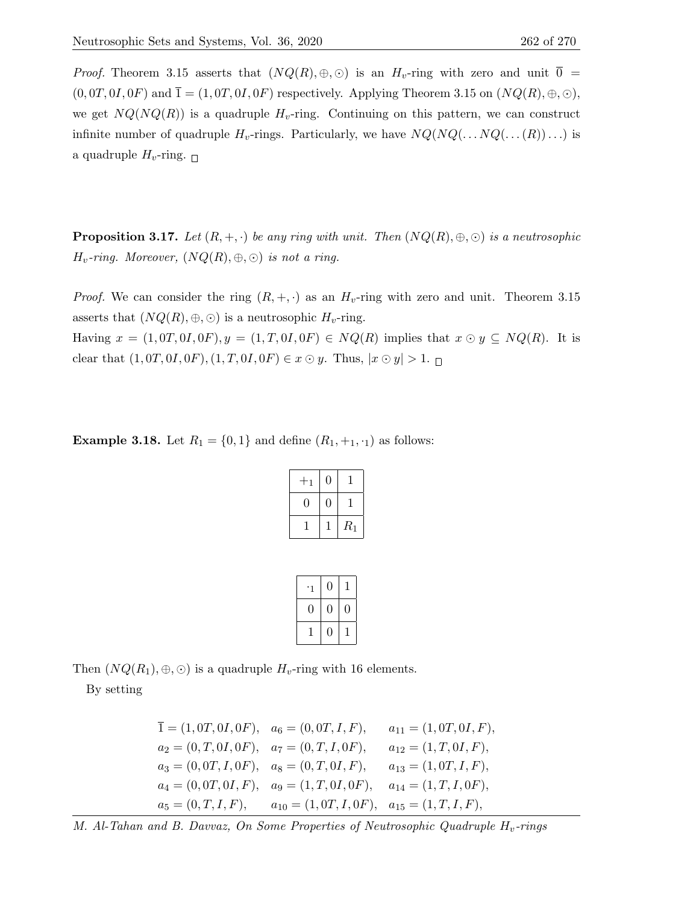*Proof.* Theorem 3.15 asserts that  $(NQ(R), \oplus, \odot)$  is an  $H_v$ -ring with zero and unit  $\overline{0}$  =  $(0,0T,0I,0F)$  and  $\overline{1}=(1,0T,0I,0F)$  respectively. Applying Theorem 3.15 on  $(NQ(R),\oplus,\odot)$ , we get  $NQ(NQ(R))$  is a quadruple  $H_v$ -ring. Continuing on this pattern, we can construct infinite number of quadruple  $H_v$ -rings. Particularly, we have  $NQ(NQ(\ldots NQ(\ldots(R))\ldots)$  is a quadruple  $H_v$ -ring.  $\Box$ 

**Proposition 3.17.** Let  $(R, +, \cdot)$  be any ring with unit. Then  $(NQ(R), \oplus, \odot)$  is a neutrosophic  $H_v$ -ring. Moreover,  $(NQ(R), \oplus, \odot)$  is not a ring.

*Proof.* We can consider the ring  $(R, +, \cdot)$  as an  $H_v$ -ring with zero and unit. Theorem 3.15 asserts that  $(NQ(R), \oplus, \odot)$  is a neutrosophic  $H_v$ -ring. Having  $x = (1, 0T, 0I, 0F), y = (1, T, 0I, 0F) \in NQ(R)$  implies that  $x \odot y \subseteq NQ(R)$ . It is clear that  $(1, 0T, 0I, 0F), (1, T, 0I, 0F) \in x \odot y$ . Thus,  $|x \odot y| > 1$ .

**Example 3.18.** Let  $R_1 = \{0, 1\}$  and define  $(R_1, +_1, \cdot_1)$  as follows:

| 1 |       |
|---|-------|
|   |       |
|   | $R_1$ |

| ٠1 | $\boldsymbol{0}$ |   |
|----|------------------|---|
| 0  | 0                | 0 |
| T  | 0                |   |

Then  $(NQ(R_1), \oplus, \odot)$  is a quadruple  $H_v$ -ring with 16 elements.

By setting

$$
\overline{1} = (1, 0T, 0I, 0F), \quad a_6 = (0, 0T, I, F), \qquad a_{11} = (1, 0T, 0I, F),
$$
\n
$$
a_2 = (0, T, 0I, 0F), \quad a_7 = (0, T, I, 0F), \qquad a_{12} = (1, T, 0I, F),
$$
\n
$$
a_3 = (0, 0T, I, 0F), \quad a_8 = (0, T, 0I, F), \qquad a_{13} = (1, 0T, I, F),
$$
\n
$$
a_4 = (0, 0T, 0I, F), \quad a_9 = (1, T, 0I, 0F), \quad a_{14} = (1, T, I, 0F),
$$
\n
$$
a_5 = (0, T, I, F), \qquad a_{10} = (1, 0T, I, 0F), \quad a_{15} = (1, T, I, F),
$$

M. Al-Tahan and B. Davvaz, On Some Properties of Neutrosophic Quadruple  $H_v$ -rings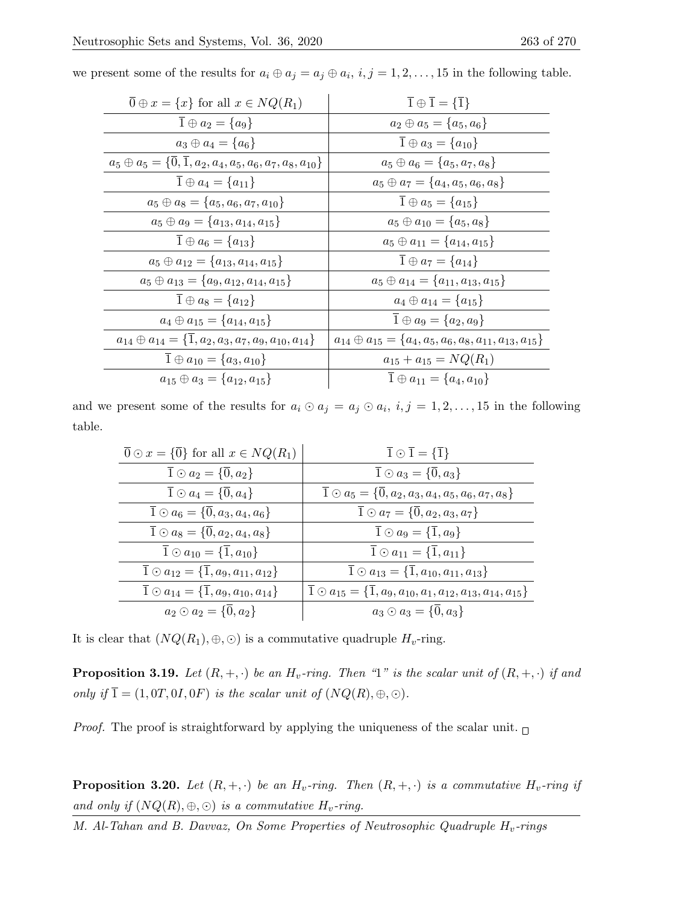| $\overline{0} \oplus x = \{x\}$ for all $x \in NQ(R_1)$                                  | $\overline{1} \oplus \overline{1} = {\overline{1}}$                      |
|------------------------------------------------------------------------------------------|--------------------------------------------------------------------------|
| $\overline{1} \oplus a_2 = \{a_9\}$                                                      | $a_2 \oplus a_5 = \{a_5, a_6\}$                                          |
| $a_3 \oplus a_4 = \{a_6\}$                                                               | $\overline{1} \oplus a_3 = \{a_{10}\}\$                                  |
| $a_5 \oplus a_5 = \{\overline{0}, \overline{1}, a_2, a_4, a_5, a_6, a_7, a_8, a_{10}\}\$ | $a_5 \oplus a_6 = \{a_5, a_7, a_8\}$                                     |
| $\overline{1} \oplus a_4 = \{a_{11}\}\$                                                  | $a_5 \oplus a_7 = \{a_4, a_5, a_6, a_8\}$                                |
| $a_5 \oplus a_8 = \{a_5, a_6, a_7, a_{10}\}\$                                            | $\overline{1} \oplus a_5 = \{a_{15}\}\$                                  |
| $a_5 \oplus a_9 = \{a_{13}, a_{14}, a_{15}\}\$                                           | $a_5 \oplus a_{10} = \{a_5, a_8\}$                                       |
| $\overline{1} \oplus a_6 = \{a_{13}\}\$                                                  | $a_5 \oplus a_{11} = \{a_{14}, a_{15}\}\$                                |
| $a_5 \oplus a_{12} = \{a_{13}, a_{14}, a_{15}\}\$                                        | $\bar{1} \oplus a_7 = \{a_{14}\}\$                                       |
| $a_5 \oplus a_{13} = \{a_9, a_{12}, a_{14}, a_{15}\}\$                                   | $a_5 \oplus a_{14} = \{a_{11}, a_{13}, a_{15}\}\$                        |
| $\overline{1} \oplus a_8 = \{a_{12}\}\$                                                  | $a_4 \oplus a_{14} = \{a_{15}\}\$                                        |
| $a_4 \oplus a_{15} = \{a_{14}, a_{15}\}\$                                                | $\overline{1} \oplus a_9 = \{a_2, a_9\}$                                 |
| $a_{14} \oplus a_{14} = \{\overline{1}, a_2, a_3, a_7, a_9, a_{10}, a_{14}\}\$           | $a_{14} \oplus a_{15} = \{a_4, a_5, a_6, a_8, a_{11}, a_{13}, a_{15}\}\$ |
| $\overline{1} \oplus a_{10} = \{a_3, a_{10}\}\$                                          | $a_{15} + a_{15} = NQ(R_1)$                                              |
| $a_{15} \oplus a_{3} = \{a_{12}, a_{15}\}\$                                              | $\overline{1} \oplus a_{11} = \{a_4, a_{10}\}\$                          |

we present some of the results for  $a_i \oplus a_j = a_j \oplus a_i$ ,  $i, j = 1, 2, ..., 15$  in the following table.

and we present some of the results for  $a_i \odot a_j = a_j \odot a_i$ ,  $i, j = 1, 2, \ldots, 15$  in the following table.

| $\overline{0} \odot x = \{\overline{0}\}\$ for all $x \in NQ(R_1)$   | $\overline{1} \odot \overline{1} = {\overline{1}}$                                                |
|----------------------------------------------------------------------|---------------------------------------------------------------------------------------------------|
| $\overline{1} \odot a_2 = \{\overline{0}, a_2\}$                     | $\overline{1} \odot a_3 = \{\overline{0}, a_3\}$                                                  |
| $\overline{1} \odot a_4 = \{\overline{0}, a_4\}$                     | $\overline{1} \odot a_5 = \{\overline{0}, a_2, a_3, a_4, a_5, a_6, a_7, a_8\}$                    |
| $\overline{1} \odot a_6 = \{\overline{0}, a_3, a_4, a_6\}$           | $\overline{1} \odot a_7 = \{\overline{0}, a_2, a_3, a_7\}$                                        |
| $\overline{1} \odot a_8 = \{\overline{0}, a_2, a_4, a_8\}$           | $\overline{1} \odot a_9 = \{\overline{1}, a_9\}$                                                  |
| $\overline{1} \odot a_{10} = \{\overline{1}, a_{10}\}\$              | $\overline{1} \odot a_{11} = \{\overline{1}, a_{11}\}\$                                           |
| $\overline{1} \odot a_{12} = \{\overline{1}, a_9, a_{11}, a_{12}\}\$ | $\overline{1} \odot a_{13} = \{\overline{1}, a_{10}, a_{11}, a_{13}\}\$                           |
| $\overline{1} \odot a_{14} = \{\overline{1}, a_9, a_{10}, a_{14}\}\$ | $\overline{1} \odot a_{15} = \{\overline{1}, a_9, a_{10}, a_1, a_{12}, a_{13}, a_{14}, a_{15}\}\$ |
| $a_2 \odot a_2 = \{\overline{0}, a_2\}$                              | $a_3 \odot a_3 = \{0, a_3\}$                                                                      |

It is clear that  $(NQ(R_1), \oplus, \odot)$  is a commutative quadruple  $H_v$ -ring.

**Proposition 3.19.** Let  $(R, +, \cdot)$  be an  $H_v\text{-ring.}$  Then "1" is the scalar unit of  $(R, +, \cdot)$  if and only if  $\overline{1} = (1, 0T, 0I, 0F)$  is the scalar unit of  $(NQ(R), \oplus, \odot)$ .

*Proof.* The proof is straightforward by applying the uniqueness of the scalar unit.  $\Box$ 

**Proposition 3.20.** Let  $(R, +, \cdot)$  be an  $H_v$ -ring. Then  $(R, +, \cdot)$  is a commutative  $H_v$ -ring if and only if  $(NQ(R), \oplus, \odot)$  is a commutative  $H_v$ -ring.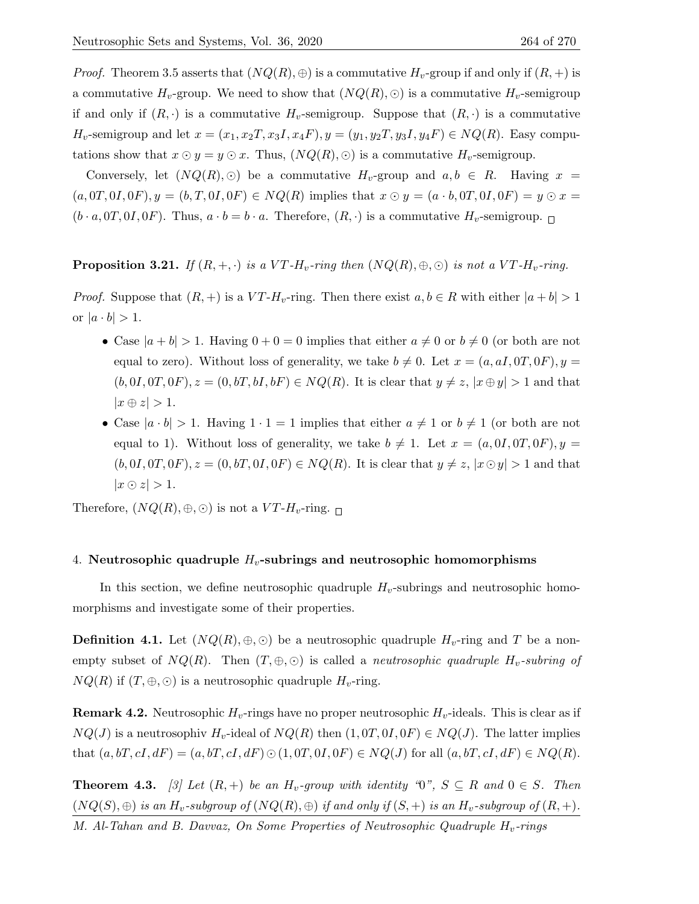*Proof.* Theorem 3.5 asserts that  $(NQ(R), \oplus)$  is a commutative  $H_v$ -group if and only if  $(R, +)$  is a commutative  $H_v$ -group. We need to show that  $(NQ(R), \odot)$  is a commutative  $H_v$ -semigroup if and only if  $(R, \cdot)$  is a commutative  $H_v$ -semigroup. Suppose that  $(R, \cdot)$  is a commutative  $H_v$ -semigroup and let  $x = (x_1, x_2, x_3, x_4, F), y = (y_1, y_2, y_3, y_4, F) \in NQ(R)$ . Easy computations show that  $x \odot y = y \odot x$ . Thus,  $(NQ(R), \odot)$  is a commutative  $H_v$ -semigroup.

Conversely, let  $(NQ(R), \odot)$  be a commutative  $H_v$ -group and  $a, b \in R$ . Having  $x =$  $(a,0T,0I,0F), y = (b,T,0I,0F) \in NQ(R)$  implies that  $x \odot y = (a \cdot b,0T,0I,0F) = y \odot x =$  $(b \cdot a, 0T, 0I, 0F)$ . Thus,  $a \cdot b = b \cdot a$ . Therefore,  $(R, \cdot)$  is a commutative  $H_v$ -semigroup.  $\Box$ 

**Proposition 3.21.** If  $(R, +, \cdot)$  is a VT-H<sub>v</sub>-ring then  $(NQ(R), \oplus, \odot)$  is not a VT-H<sub>v</sub>-ring.

*Proof.* Suppose that  $(R, +)$  is a  $VT-H_v$ -ring. Then there exist  $a, b \in R$  with either  $|a + b| > 1$ or  $|a \cdot b| > 1$ .

- Case  $|a + b| > 1$ . Having  $0 + 0 = 0$  implies that either  $a \neq 0$  or  $b \neq 0$  (or both are not equal to zero). Without loss of generality, we take  $b \neq 0$ . Let  $x = (a, aI, 0T, 0F), y =$  $(b, 0I, 0T, 0F), z = (0, bT, bI, bF) \in NQ(R)$ . It is clear that  $y \neq z$ ,  $|x \oplus y| > 1$  and that  $|x \oplus z| > 1.$
- Case  $|a \cdot b| > 1$ . Having  $1 \cdot 1 = 1$  implies that either  $a \neq 1$  or  $b \neq 1$  (or both are not equal to 1). Without loss of generality, we take  $b \neq 1$ . Let  $x = (a, 0I, 0T, 0F), y =$  $(b, 0I, 0T, 0F), z = (0, bT, 0I, 0F) \in NQ(R)$ . It is clear that  $y \neq z, |x \odot y| > 1$  and that  $|x \odot z| > 1$ .

Therefore,  $(NQ(R), \oplus, \odot)$  is not a  $VT-H_v$ -ring.

## 4. Neutrosophic quadruple  $H_v$ -subrings and neutrosophic homomorphisms

In this section, we define neutrosophic quadruple  $H_v$ -subrings and neutrosophic homomorphisms and investigate some of their properties.

**Definition 4.1.** Let  $(NQ(R), \oplus, \odot)$  be a neutrosophic quadruple  $H_v$ -ring and T be a nonempty subset of  $NQ(R)$ . Then  $(T, \oplus, \odot)$  is called a *neutrosophic quadruple H<sub>v</sub>-subring of*  $NQ(R)$  if  $(T, \oplus, \odot)$  is a neutrosophic quadruple  $H_v$ -ring.

**Remark 4.2.** Neutrosophic  $H_v$ -rings have no proper neutrosophic  $H_v$ -ideals. This is clear as if  $NQ(J)$  is a neutrosophiv  $H_v$ -ideal of  $NQ(R)$  then  $(1, 0T, 0I, 0F) \in NQ(J)$ . The latter implies that  $(a, bT, cI, dF) = (a, bT, cI, dF) \odot (1, 0T, 0I, 0F) \in NQ(J)$  for all  $(a, bT, cI, dF) \in NQ(R)$ .

**Theorem 4.3.** [3] Let  $(R, +)$  be an  $H_v$ -group with identity "0",  $S \subseteq R$  and  $0 \in S$ . Then  $(NQ(S), \oplus)$  is an  $H_v$ -subgroup of  $(NQ(R), \oplus)$  if and only if  $(S, +)$  is an  $H_v$ -subgroup of  $(R, +)$ .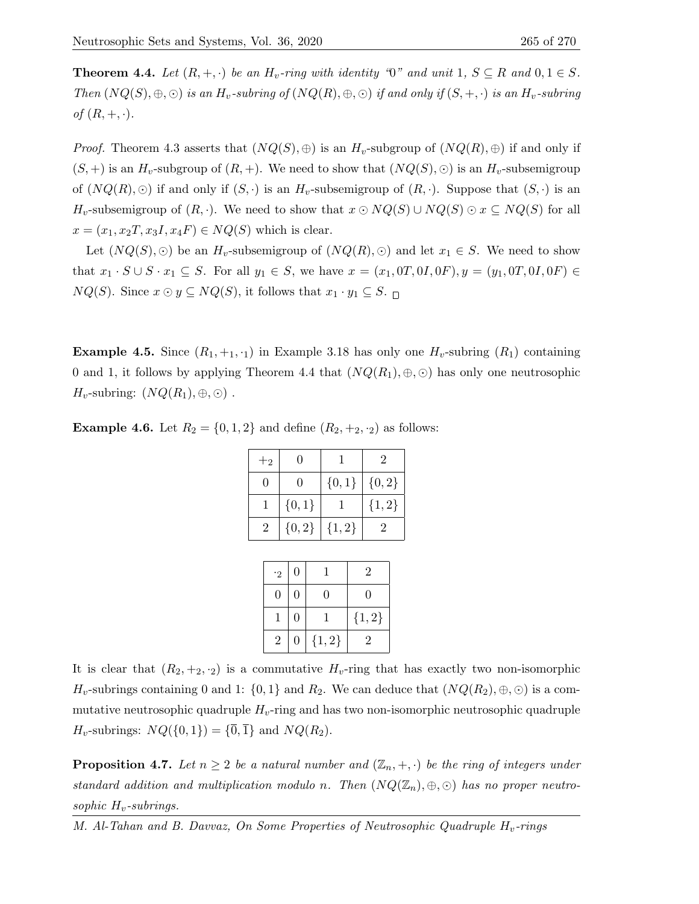**Theorem 4.4.** Let  $(R, +, \cdot)$  be an  $H_v$ -ring with identity "0" and unit 1,  $S \subseteq R$  and  $0, 1 \in S$ . Then  $(NQ(S), \oplus, \odot)$  is an  $H_v$ -subring of  $(NQ(R), \oplus, \odot)$  if and only if  $(S, +, \cdot)$  is an  $H_v$ -subring of  $(R, +, \cdot)$ .

*Proof.* Theorem 4.3 asserts that  $(NQ(S), \oplus)$  is an  $H_v$ -subgroup of  $(NQ(R), \oplus)$  if and only if  $(S,+)$  is an  $H_v$ -subgroup of  $(R,+)$ . We need to show that  $(NQ(S),\odot)$  is an  $H_v$ -subsemigroup of  $(NQ(R), \odot)$  if and only if  $(S, \cdot)$  is an  $H_v$ -subsemigroup of  $(R, \cdot)$ . Suppose that  $(S, \cdot)$  is an  $H_v$ -subsemigroup of  $(R, \cdot)$ . We need to show that  $x \odot NQ(S) \cup NQ(S) \odot x \subseteq NQ(S)$  for all  $x = (x_1, x_2, x_3, x_4, F) \in NQ(S)$  which is clear.

Let  $(NQ(S), \odot)$  be an  $H_v$ -subsemigroup of  $(NQ(R), \odot)$  and let  $x_1 \in S$ . We need to show that  $x_1 \cdot S \cup S \cdot x_1 \subseteq S$ . For all  $y_1 \in S$ , we have  $x = (x_1, 0T, 0I, 0F), y = (y_1, 0T, 0I, 0F) \in$  $NQ(S)$ . Since  $x \odot y \subseteq NQ(S)$ , it follows that  $x_1 \cdot y_1 \subseteq S$ .  $\Box$ 

**Example 4.5.** Since  $(R_1, +_1, \cdot_1)$  in Example 3.18 has only one  $H_v$ -subring  $(R_1)$  containing 0 and 1, it follows by applying Theorem 4.4 that  $(NQ(R_1), \oplus, \odot)$  has only one neutrosophic  $H_v$ -subring:  $(NQ(R_1), \oplus, \odot)$ .

**Example 4.6.** Let  $R_2 = \{0, 1, 2\}$  and define  $(R_2, +_2, \cdot_2)$  as follows:

| $+2$ |              |            | 2          |
|------|--------------|------------|------------|
| 0    | $\mathbf{0}$ | $\{0,1\}$  | $\{0, 2\}$ |
|      | ${0,1}$      |            | ${1, 2}$   |
| 2    | ${0, 2}$     | $\{1, 2\}$ | 2          |

| $\cdot$ 2      | 0 |          | $\overline{2}$ |
|----------------|---|----------|----------------|
| O              | 0 | 0        | 0              |
|                | 0 |          | ${1, 2}$       |
| $\overline{2}$ | 0 | ${1, 2}$ | 2              |

It is clear that  $(R_2, +_2, \cdot_2)$  is a commutative  $H_v$ -ring that has exactly two non-isomorphic  $H_v$ -subrings containing 0 and 1:  $\{0,1\}$  and  $R_2$ . We can deduce that  $(NQ(R_2), \oplus, \odot)$  is a commutative neutrosophic quadruple  $H_v$ -ring and has two non-isomorphic neutrosophic quadruple  $H_v$ -subrings:  $NQ({0,1}) = {\overline{0}, \overline{1}}$  and  $NQ(R_2)$ .

**Proposition 4.7.** Let  $n \geq 2$  be a natural number and  $(\mathbb{Z}_n, +, \cdot)$  be the ring of integers under standard addition and multiplication modulo n. Then  $(NQ(\mathbb{Z}_n), \oplus, \odot)$  has no proper neutrosophic  $H_v$ -subrings.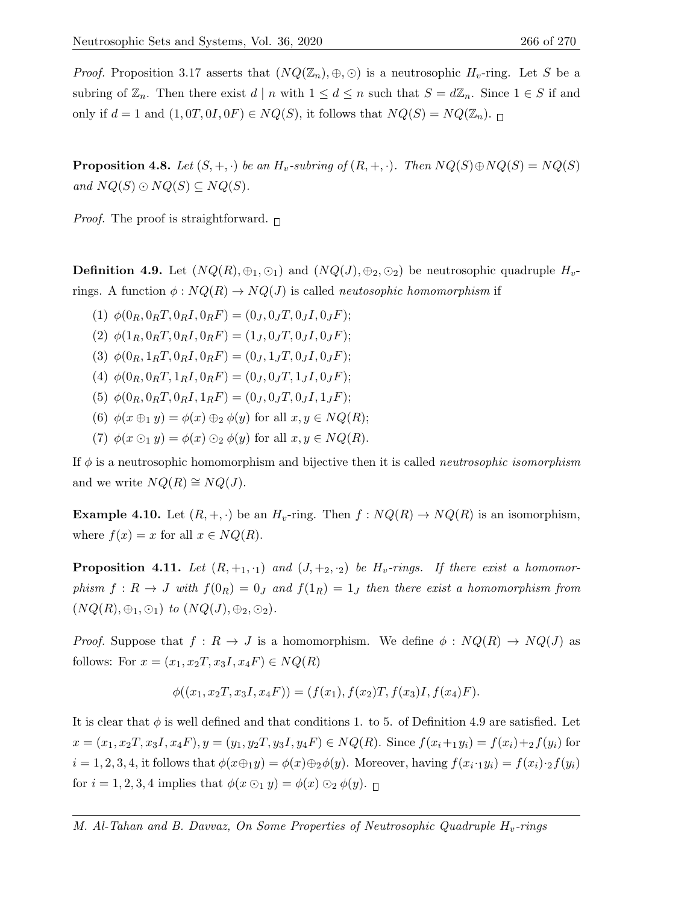*Proof.* Proposition 3.17 asserts that  $(NQ(\mathbb{Z}_n), \oplus, \odot)$  is a neutrosophic  $H_v$ -ring. Let S be a subring of  $\mathbb{Z}_n$ . Then there exist  $d \mid n$  with  $1 \leq d \leq n$  such that  $S = d\mathbb{Z}_n$ . Since  $1 \in S$  if and only if  $d = 1$  and  $(1, 0T, 0I, 0F) \in NQ(S)$ , it follows that  $NQ(S) = NQ(\mathbb{Z}_n)$ .

**Proposition 4.8.** Let  $(S, +, \cdot)$  be an  $H_v$ -subring of  $(R, +, \cdot)$ . Then  $NQ(S) \oplus NQ(S) = NQ(S)$ and  $NQ(S) \odot NQ(S) \subseteq NQ(S)$ .

*Proof.* The proof is straightforward.  $\Box$ 

**Definition 4.9.** Let  $(NQ(R), \oplus_1, \odot_1)$  and  $(NQ(J), \oplus_2, \odot_2)$  be neutrosophic quadruple  $H_v$ rings. A function  $\phi: NQ(R) \to NQ(J)$  is called *neutosophic homomorphism* if

- (1)  $\phi(0_R, 0_R, T, 0_R, I, 0_R, F) = (0_J, 0_J, T, 0_J, I, 0_J, F);$
- (2)  $\phi(1_R, 0_RT, 0_RI, 0_RF) = (1_J, 0_JT, 0_JI, 0_JF);$
- (3)  $\phi(0_R, 1_R T, 0_R I, 0_R F) = (0_J, 1_J T, 0_J I, 0_J F);$
- (4)  $\phi(0_R, 0_R T, 1_R I, 0_R F) = (0_J, 0_J T, 1_J I, 0_J F);$
- (5)  $\phi(0_R, 0_R, T, 0_R, I, 1_R, F) = (0_I, 0_I, T, 0_I, I, 1_I, F);$
- (6)  $\phi(x \oplus_1 y) = \phi(x) \oplus_2 \phi(y)$  for all  $x, y \in NQ(R)$ ;
- (7)  $\phi(x \odot_1 y) = \phi(x) \odot_2 \phi(y)$  for all  $x, y \in NQ(R)$ .

If  $\phi$  is a neutrosophic homomorphism and bijective then it is called *neutrosophic isomorphism* and we write  $NQ(R) \cong NQ(J)$ .

**Example 4.10.** Let  $(R, +, \cdot)$  be an  $H_v$ -ring. Then  $f : NQ(R) \to NQ(R)$  is an isomorphism, where  $f(x) = x$  for all  $x \in NQ(R)$ .

**Proposition 4.11.** Let  $(R, +_1, \cdot_1)$  and  $(J, +_2, \cdot_2)$  be  $H_v\text{-rings.}$  If there exist a homomorphism  $f: R \to J$  with  $f(0_R) = 0_J$  and  $f(1_R) = 1_J$  then there exist a homomorphism from  $(NQ(R), \oplus_1, \odot_1)$  to  $(NQ(J), \oplus_2, \odot_2)$ .

*Proof.* Suppose that  $f: R \to J$  is a homomorphism. We define  $\phi: NQ(R) \to NQ(J)$  as follows: For  $x = (x_1, x_2T, x_3I, x_4F) \in NQ(R)$ 

$$
\phi((x_1, x_2T, x_3I, x_4F)) = (f(x_1), f(x_2)T, f(x_3)I, f(x_4)F).
$$

It is clear that  $\phi$  is well defined and that conditions 1. to 5. of Definition 4.9 are satisfied. Let  $x = (x_1, x_2, x_3, x_4, F), y = (y_1, y_2, y_3, y_4, F) \in NQ(R)$ . Since  $f(x_i+y_i) = f(x_i)+f(y_i)$  for  $i = 1, 2, 3, 4$ , it follows that  $\phi(x \oplus_1 y) = \phi(x) \oplus_2 \phi(y)$ . Moreover, having  $f(x_i \cdot_1 y_i) = f(x_i) \cdot_2 f(y_i)$ for  $i = 1, 2, 3, 4$  implies that  $\phi(x \odot_1 y) = \phi(x) \odot_2 \phi(y)$ .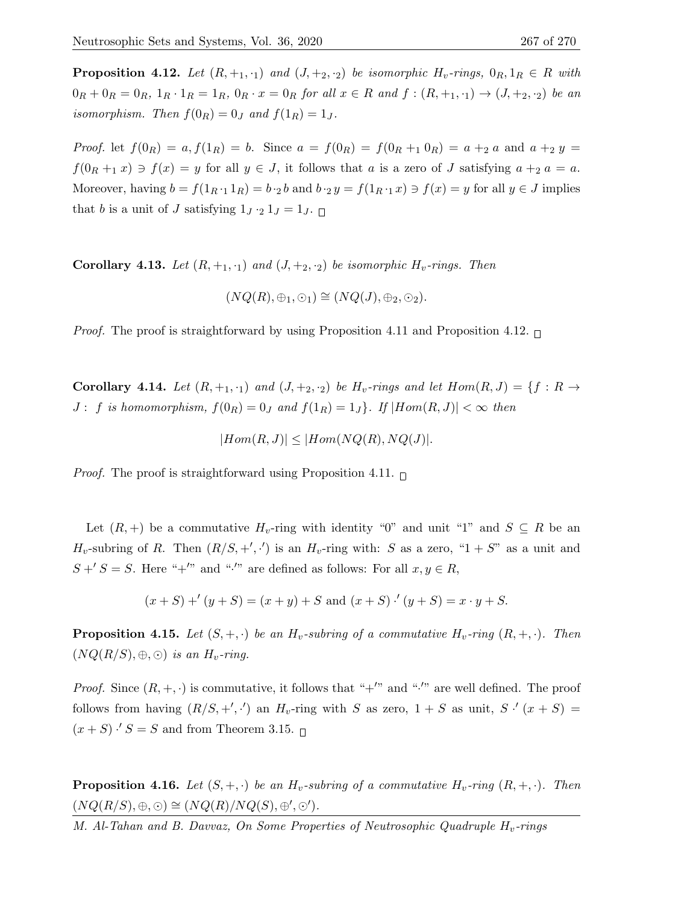**Proposition 4.12.** Let  $(R, +_1, \cdot_1)$  and  $(J, +_2, \cdot_2)$  be isomorphic  $H_v\text{-}rings$ ,  $0_R, 1_R \in R$  with  $0_R + 0_R = 0_R$ ,  $1_R \cdot 1_R = 1_R$ ,  $0_R \cdot x = 0_R$  for all  $x \in R$  and  $f : (R, +_1, \cdot_1) \to (J, +_2, \cdot_2)$  be an isomorphism. Then  $f(0_R) = 0_J$  and  $f(1_R) = 1_J$ .

*Proof.* let  $f(0_R) = a, f(1_R) = b$ . Since  $a = f(0_R) = f(0_R + 1 \ 0_R) = a + 2 \ a$  and  $a + 2 \ y =$  $f(0_R +_1 x) \ni f(x) = y$  for all  $y \in J$ , it follows that a is a zero of J satisfying  $a +_2 a = a$ . Moreover, having  $b = f(1_{R-1} 1_R) = b \cdot_2 b$  and  $b \cdot_2 y = f(1_{R-1} x) \ni f(x) = y$  for all  $y \in J$  implies that b is a unit of J satisfying  $1_J \cdot 2 1_J = 1_J$ .

**Corollary 4.13.** Let  $(R, +_1, \cdot_1)$  and  $(J, +_2, \cdot_2)$  be isomorphic  $H_v$ -rings. Then

$$
(NQ(R), \oplus_1, \odot_1) \cong (NQ(J), \oplus_2, \odot_2).
$$

*Proof.* The proof is straightforward by using Proposition 4.11 and Proposition 4.12.  $\Box$ 

Corollary 4.14. Let  $(R, +_1, \cdot_1)$  and  $(J, +_2, \cdot_2)$  be  $H_v\text{-rings}$  and let  $Hom(R, J) = \{f : R \rightarrow$  $J: f$  is homomorphism,  $f(0_R) = 0_J$  and  $f(1_R) = 1_J$ . If  $|Hom(R, J)| < \infty$  then

$$
|Hom(R, J)| \leq |Hom(NQ(R), NQ(J)|.
$$

*Proof.* The proof is straightforward using Proposition 4.11.  $\Box$ 

Let  $(R, +)$  be a commutative  $H_v$ -ring with identity "0" and unit "1" and  $S \subseteq R$  be an  $H_v$ -subring of R. Then  $(R/S, +', \cdot')$  is an  $H_v$ -ring with: S as a zero, "1 + S" as a unit and  $S' + S = S$ . Here "+'" and "<sup>\*</sup>" are defined as follows: For all  $x, y \in R$ ,

$$
(x + S) + ' (y + S) = (x + y) + S
$$
 and  $(x + S) \cdot ' (y + S) = x \cdot y + S$ .

**Proposition 4.15.** Let  $(S, +, \cdot)$  be an  $H_v$ -subring of a commutative  $H_v$ -ring  $(R, +, \cdot)$ . Then  $(NQ(R/S), \oplus, \odot)$  is an  $H_v$ -ring.

*Proof.* Since  $(R, +, \cdot)$  is commutative, it follows that "+'" and "''" are well defined. The proof follows from having  $(R/S, +', \cdot')$  an  $H_v$ -ring with S as zero,  $1 + S$  as unit,  $S \cdot (x + S) =$  $(x + S) \cdot S = S$  and from Theorem 3.15.

**Proposition 4.16.** Let  $(S, +, \cdot)$  be an  $H_v$ -subring of a commutative  $H_v$ -ring  $(R, +, \cdot)$ . Then  $(NQ(R/S), \oplus, \odot) \cong (NQ(R)/NQ(S), \oplus', \odot').$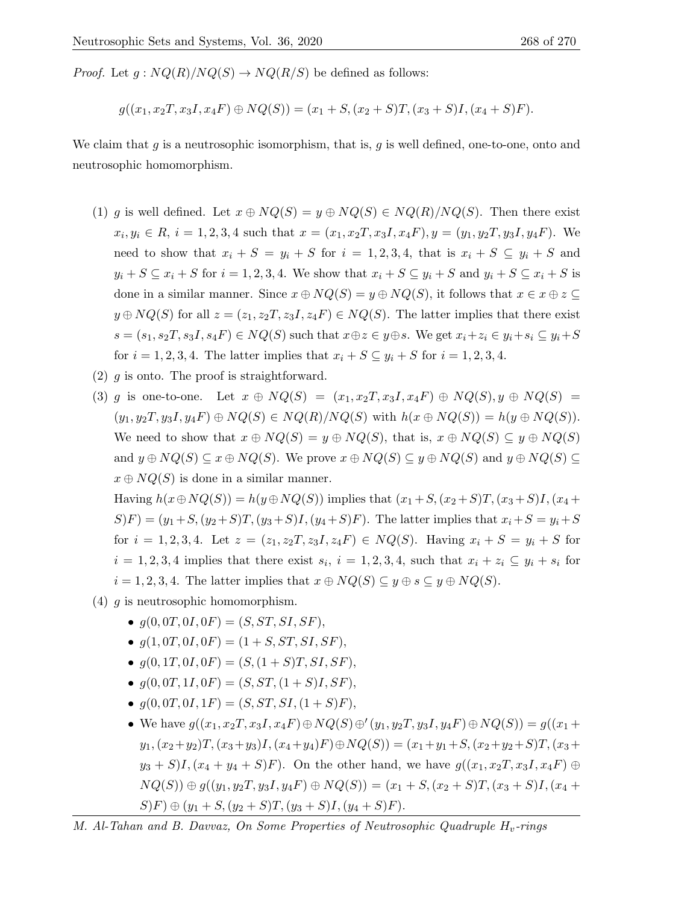*Proof.* Let  $g: NQ(R)/NQ(S) \to NQ(R/S)$  be defined as follows:

$$
g((x_1, x_2T, x_3I, x_4F) \oplus NQ(S)) = (x_1 + S, (x_2 + S)T, (x_3 + S)I, (x_4 + S)F).
$$

We claim that  $g$  is a neutrosophic isomorphism, that is,  $g$  is well defined, one-to-one, onto and neutrosophic homomorphism.

- (1) g is well defined. Let  $x \oplus NQ(S) = y \oplus NQ(S) \in NQ(R)/NQ(S)$ . Then there exist  $x_i, y_i \in R$ ,  $i = 1, 2, 3, 4$  such that  $x = (x_1, x_2, x_3, x_4, F), y = (y_1, y_2, y_3, y_4, F)$ . We need to show that  $x_i + S = y_i + S$  for  $i = 1, 2, 3, 4$ , that is  $x_i + S \subseteq y_i + S$  and  $y_i + S \subseteq x_i + S$  for  $i = 1, 2, 3, 4$ . We show that  $x_i + S \subseteq y_i + S$  and  $y_i + S \subseteq x_i + S$  is done in a similar manner. Since  $x \oplus NQ(S) = y \oplus NQ(S)$ , it follows that  $x \in x \oplus z \subseteq$  $y \oplus NQ(S)$  for all  $z = (z_1, z_2T, z_3I, z_4F) \in NQ(S)$ . The latter implies that there exist  $s = (s_1, s_2, s_3, s_4, F) \in NQ(S)$  such that  $x \oplus z \in y \oplus s$ . We get  $x_i + z_i \in y_i + s_i \subseteq y_i + S$ for  $i = 1, 2, 3, 4$ . The latter implies that  $x_i + S \subseteq y_i + S$  for  $i = 1, 2, 3, 4$ .
- $(2)$  g is onto. The proof is straightforward.
- (3) q is one-to-one. Let  $x \oplus NQ(S) = (x_1, x_2, x_3, x_4F) \oplus NQ(S), y \oplus NQ(S) =$  $(y_1, y_2, y_3I, y_4F) \oplus NQ(S) \in NQ(R)/NQ(S)$  with  $h(x \oplus NQ(S)) = h(y \oplus NQ(S)).$ We need to show that  $x \oplus NQ(S) = y \oplus NQ(S)$ , that is,  $x \oplus NQ(S) \subseteq y \oplus NQ(S)$ and  $y \oplus NQ(S) \subseteq x \oplus NQ(S)$ . We prove  $x \oplus NQ(S) \subseteq y \oplus NQ(S)$  and  $y \oplus NQ(S) \subseteq$  $x \oplus NO(S)$  is done in a similar manner.

Having  $h(x \oplus NQ(S)) = h(y \oplus NQ(S))$  implies that  $(x_1+S,(x_2+S)T,(x_3+S)I,(x_4+S))$  $S(F) = (y_1 + S, (y_2 + S)T, (y_3 + S)I, (y_4 + S)F)$ . The latter implies that  $x_i + S = y_i + S$ for  $i = 1, 2, 3, 4$ . Let  $z = (z_1, z_2T, z_3I, z_4F) \in NQ(S)$ . Having  $x_i + S = y_i + S$  for  $i = 1, 2, 3, 4$  implies that there exist  $s_i$ ,  $i = 1, 2, 3, 4$ , such that  $x_i + z_i \subseteq y_i + s_i$  for  $i = 1, 2, 3, 4$ . The latter implies that  $x \oplus NQ(S) \subseteq y \oplus s \subseteq y \oplus NQ(S)$ .

- (4) g is neutrosophic homomorphism.
	- $g(0,0T,0I,0F) = (S, ST, SI, SF),$
	- $q(1,0T,0I,0F) = (1 + S, ST, SI, SF),$
	- $g(0, 1T, 0I, 0F) = (S, (1 + S)T, SI, SF),$
	- $g(0,0T,1I,0F) = (S,ST,(1+S)I,SF),$
	- $q(0,0T,0I,1F) = (S, ST, SI, (1+S)F),$
	- We have  $g((x_1, x_2T, x_3I, x_4F) \oplus NQ(S) \oplus (y_1, y_2T, y_3I, y_4F) \oplus NQ(S)) = g((x_1 + y_2I, y_3I, y_4F) \oplus NQ(S))$  $y_1,(x_2+y_2)T,(x_3+y_3)I,(x_4+y_4)F) \oplus NQ(S)) = (x_1+y_1+S,(x_2+y_2+S)T,(x_3+B)T)$  $y_3 + S$ I,  $(x_4 + y_4 + S)F$ ). On the other hand, we have  $g((x_1, x_2, x_3, x_4, F) \oplus$  $NQ(S)) \oplus g((y_1, y_2, y_3, y_4F) \oplus NQ(S)) = (x_1 + S, (x_2 + S)T, (x_3 + S)I, (x_4 + S)T)$  $S(F) \oplus (y_1 + S, (y_2 + S)T, (y_3 + S)I, (y_4 + S)F).$

M. Al-Tahan and B. Davvaz, On Some Properties of Neutrosophic Quadruple  $H_v$ -rings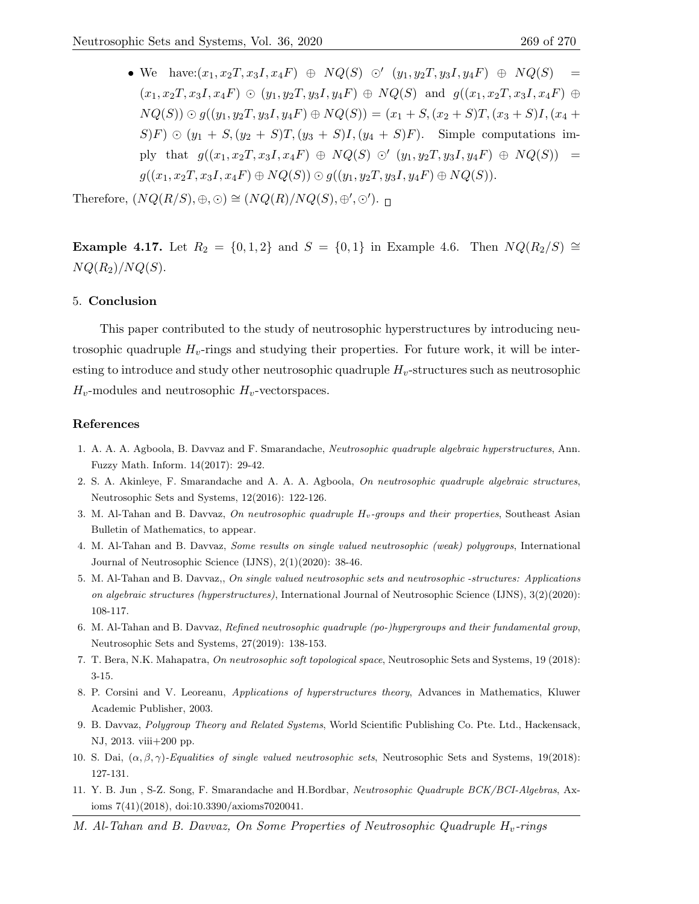• We have:  $(x_1, x_2T, x_3I, x_4F) \oplus NQ(S) \odot (y_1, y_2T, y_3I, y_4F) \oplus NQ(S) =$  $(x_1, x_2, x_3, x_4F) \odot (y_1, y_2, y_3, y_4F) \oplus NQ(S)$  and  $g((x_1, x_2, x_3, x_4F) \oplus$  $NQ(S)) \odot g((y_1, y_2, y_3, y_4F) \oplus NQ(S)) = (x_1 + S, (x_2 + S)T, (x_3 + S)I, (x_4 + S)T)$  $S(F) \odot (y_1 + S, (y_2 + S)T, (y_3 + S)I, (y_4 + S)F)$ . Simple computations imply that  $g((x_1, x_2T, x_3I, x_4F) \oplus NQ(S) \odot (y_1, y_2T, y_3I, y_4F) \oplus NQ(S)) =$  $g((x_1, x_2T, x_3I, x_4F) \oplus NQ(S)) \odot g((y_1, y_2T, y_3I, y_4F) \oplus NQ(S)).$ 

Therefore,  $(NQ(R/S), \oplus, \odot) \cong (NQ(R)/NQ(S), \oplus', \odot').$ 

**Example 4.17.** Let  $R_2 = \{0, 1, 2\}$  and  $S = \{0, 1\}$  in Example 4.6. Then  $NQ(R_2/S)$  ≅  $NQ(R_2)/NQ(S)$ .

## 5. Conclusion

This paper contributed to the study of neutrosophic hyperstructures by introducing neutrosophic quadruple  $H_v$ -rings and studying their properties. For future work, it will be interesting to introduce and study other neutrosophic quadruple  $H_v$ -structures such as neutrosophic  $H_v$ -modules and neutrosophic  $H_v$ -vectorspaces.

## References

- 1. A. A. A. Agboola, B. Davvaz and F. Smarandache, Neutrosophic quadruple algebraic hyperstructures, Ann. Fuzzy Math. Inform. 14(2017): 29-42.
- 2. S. A. Akinleye, F. Smarandache and A. A. A. Agboola, On neutrosophic quadruple algebraic structures, Neutrosophic Sets and Systems, 12(2016): 122-126.
- 3. M. Al-Tahan and B. Davvaz, On neutrosophic quadruple  $H_v$ -groups and their properties, Southeast Asian Bulletin of Mathematics, to appear.
- 4. M. Al-Tahan and B. Davvaz, Some results on single valued neutrosophic (weak) polygroups, International Journal of Neutrosophic Science (IJNS), 2(1)(2020): 38-46.
- 5. M. Al-Tahan and B. Davvaz,, On single valued neutrosophic sets and neutrosophic -structures: Applications on algebraic structures (hyperstructures), International Journal of Neutrosophic Science (IJNS), 3(2)(2020): 108-117.
- 6. M. Al-Tahan and B. Davvaz, Refined neutrosophic quadruple (po-)hypergroups and their fundamental group, Neutrosophic Sets and Systems, 27(2019): 138-153.
- 7. T. Bera, N.K. Mahapatra, On neutrosophic soft topological space, Neutrosophic Sets and Systems, 19 (2018): 3-15.
- 8. P. Corsini and V. Leoreanu, Applications of hyperstructures theory, Advances in Mathematics, Kluwer Academic Publisher, 2003.
- 9. B. Davvaz, Polygroup Theory and Related Systems, World Scientific Publishing Co. Pte. Ltd., Hackensack, NJ, 2013. viii+200 pp.
- 10. S. Dai,  $(\alpha, \beta, \gamma)$ -Equalities of single valued neutrosophic sets, Neutrosophic Sets and Systems, 19(2018): 127-131.
- 11. Y. B. Jun , S-Z. Song, F. Smarandache and H.Bordbar, Neutrosophic Quadruple BCK/BCI-Algebras, Axioms 7(41)(2018), doi:10.3390/axioms7020041.
- M. Al-Tahan and B. Davvaz, On Some Properties of Neutrosophic Quadruple  $H_v$ -rings